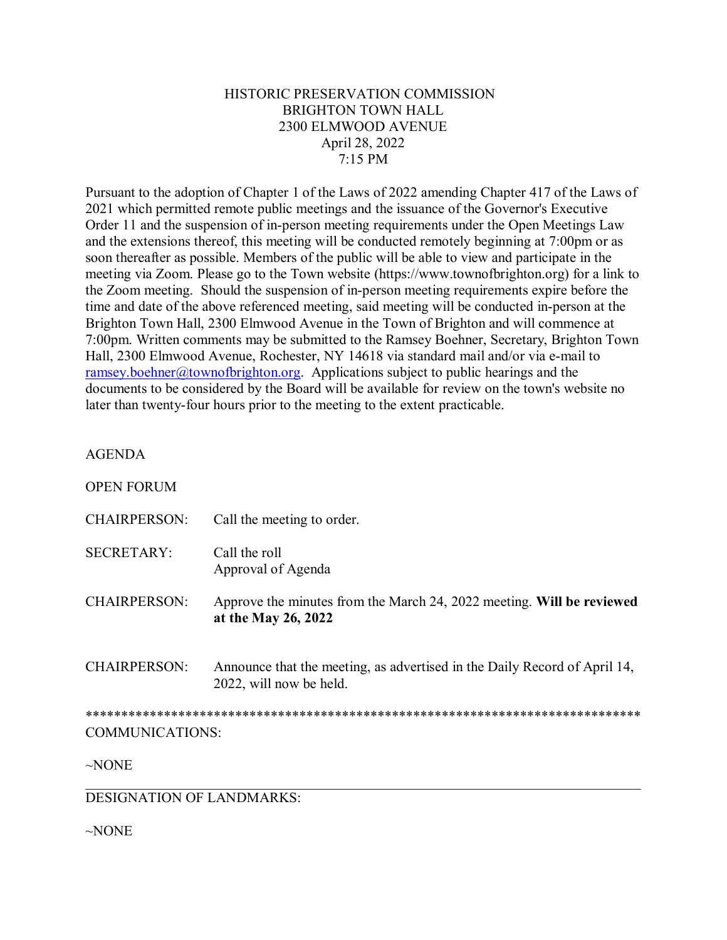## HISTORIC PRESERVATION COMMISSION **BRIGHTON TOWN HALL** 2300 ELMWOOD AVENUE April 28, 2022  $7:15$  PM

Pursuant to the adoption of Chapter 1 of the Laws of 2022 amending Chapter 417 of the Laws of 2021 which permitted remote public meetings and the issuance of the Governor's Executive Order 11 and the suspension of in-person meeting requirements under the Open Meetings Law and the extensions thereof, this meeting will be conducted remotely beginning at 7:00pm or as soon thereafter as possible. Members of the public will be able to view and participate in the meeting via Zoom. Please go to the Town website (https://www.townofbrighton.org) for a link to the Zoom meeting. Should the suspension of in-person meeting requirements expire before the time and date of the above referenced meeting, said meeting will be conducted in-person at the Brighton Town Hall, 2300 Elmwood Avenue in the Town of Brighton and will commence at 7:00pm. Written comments may be submitted to the Ramsey Boehner, Secretary, Brighton Town Hall, 2300 Elmwood Avenue, Rochester, NY 14618 via standard mail and/or via e-mail to ramsey.boehner@townofbrighton.org. Applications subject to public hearings and the documents to be considered by the Board will be available for review on the town's website no later than twenty-four hours prior to the meeting to the extent practicable.

## **AGENDA**

**ODENLEQDIB** 

| OPEN FORUM                       |                                                                                                      |
|----------------------------------|------------------------------------------------------------------------------------------------------|
| <b>CHAIRPERSON:</b>              | Call the meeting to order.                                                                           |
| <b>SECRETARY:</b>                | Call the roll<br>Approval of Agenda                                                                  |
| <b>CHAIRPERSON:</b>              | Approve the minutes from the March 24, 2022 meeting. Will be reviewed<br>at the May 26, 2022         |
| <b>CHAIRPERSON:</b>              | Announce that the meeting, as advertised in the Daily Record of April 14,<br>2022, will now be held. |
|                                  |                                                                                                      |
| <b>COMMUNICATIONS:</b>           |                                                                                                      |
| $\sim$ NONE                      |                                                                                                      |
| <b>DESIGNATION OF LANDMARKS:</b> |                                                                                                      |

 $\sim$ NONE